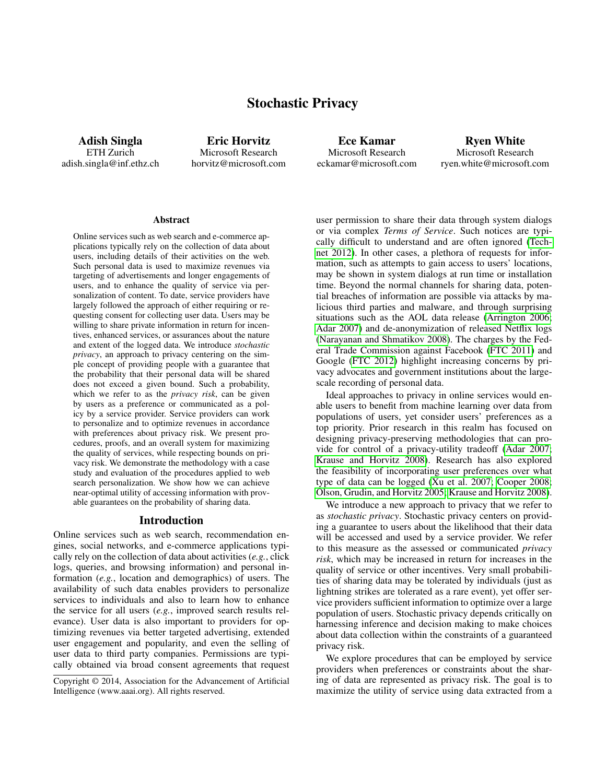# Stochastic Privacy

Adish Singla ETH Zurich adish.singla@inf.ethz.ch

Eric Horvitz Microsoft Research horvitz@microsoft.com

Ece Kamar Microsoft Research eckamar@microsoft.com

Ryen White Microsoft Research ryen.white@microsoft.com

#### **Abstract**

Online services such as web search and e-commerce applications typically rely on the collection of data about users, including details of their activities on the web. Such personal data is used to maximize revenues via targeting of advertisements and longer engagements of users, and to enhance the quality of service via personalization of content. To date, service providers have largely followed the approach of either requiring or requesting consent for collecting user data. Users may be willing to share private information in return for incentives, enhanced services, or assurances about the nature and extent of the logged data. We introduce *stochastic privacy*, an approach to privacy centering on the simple concept of providing people with a guarantee that the probability that their personal data will be shared does not exceed a given bound. Such a probability, which we refer to as the *privacy risk*, can be given by users as a preference or communicated as a policy by a service provider. Service providers can work to personalize and to optimize revenues in accordance with preferences about privacy risk. We present procedures, proofs, and an overall system for maximizing the quality of services, while respecting bounds on privacy risk. We demonstrate the methodology with a case study and evaluation of the procedures applied to web search personalization. We show how we can achieve near-optimal utility of accessing information with provable guarantees on the probability of sharing data.

#### Introduction

Online services such as web search, recommendation engines, social networks, and e-commerce applications typically rely on the collection of data about activities (*e.g.*, click logs, queries, and browsing information) and personal information (*e.g.*, location and demographics) of users. The availability of such data enables providers to personalize services to individuals and also to learn how to enhance the service for all users (*e.g.*, improved search results relevance). User data is also important to providers for optimizing revenues via better targeted advertising, extended user engagement and popularity, and even the selling of user data to third party companies. Permissions are typically obtained via broad consent agreements that request

user permission to share their data through system dialogs or via complex *Terms of Service*. Such notices are typically difficult to understand and are often ignored [\(Tech](#page-6-0)[net 2012\)](#page-6-0). In other cases, a plethora of requests for information, such as attempts to gain access to users' locations, may be shown in system dialogs at run time or installation time. Beyond the normal channels for sharing data, potential breaches of information are possible via attacks by malicious third parties and malware, and through surprising situations such as the AOL data release [\(Arrington 2006;](#page-6-1) [Adar 2007\)](#page-6-2) and de-anonymization of released Netflix logs [\(Narayanan and Shmatikov 2008\)](#page-6-3). The charges by the Federal Trade Commission against Facebook [\(FTC 2011\)](#page-6-4) and Google [\(FTC 2012\)](#page-6-5) highlight increasing concerns by privacy advocates and government institutions about the largescale recording of personal data.

Ideal approaches to privacy in online services would enable users to benefit from machine learning over data from populations of users, yet consider users' preferences as a top priority. Prior research in this realm has focused on designing privacy-preserving methodologies that can provide for control of a privacy-utility tradeoff [\(Adar 2007;](#page-6-2) [Krause and Horvitz 2008\)](#page-6-6). Research has also explored the feasibility of incorporating user preferences over what type of data can be logged [\(Xu et al. 2007;](#page-6-7) [Cooper 2008;](#page-6-8) [Olson, Grudin, and Horvitz 2005;](#page-6-9) [Krause and Horvitz 2008\)](#page-6-6).

We introduce a new approach to privacy that we refer to as *stochastic privacy*. Stochastic privacy centers on providing a guarantee to users about the likelihood that their data will be accessed and used by a service provider. We refer to this measure as the assessed or communicated *privacy risk*, which may be increased in return for increases in the quality of service or other incentives. Very small probabilities of sharing data may be tolerated by individuals (just as lightning strikes are tolerated as a rare event), yet offer service providers sufficient information to optimize over a large population of users. Stochastic privacy depends critically on harnessing inference and decision making to make choices about data collection within the constraints of a guaranteed privacy risk.

We explore procedures that can be employed by service providers when preferences or constraints about the sharing of data are represented as privacy risk. The goal is to maximize the utility of service using data extracted from a

Copyright © 2014, Association for the Advancement of Artificial Intelligence (www.aaai.org). All rights reserved.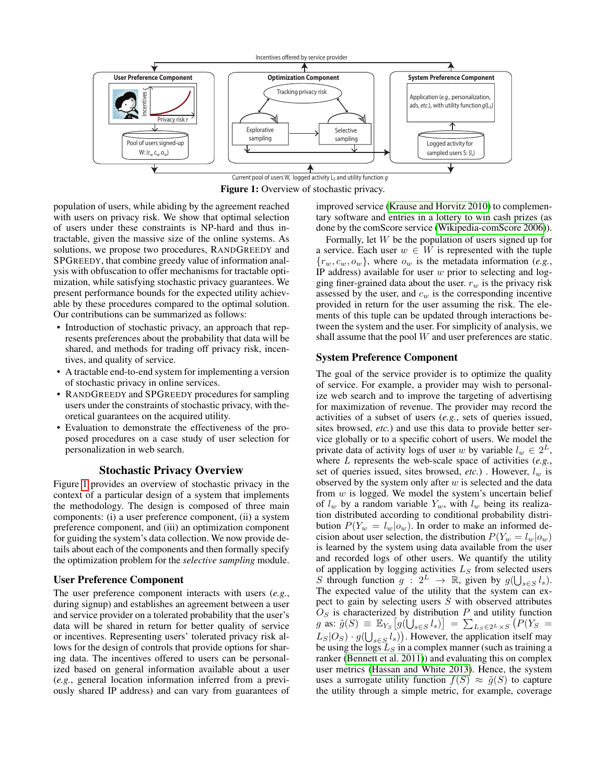<span id="page-1-0"></span>

Current pool of users W, logged activity  $L_S$  and utility function  $g$ Figure 1: Overview of stochastic privacy.

population of users, while abiding by the agreement reached with users on privacy risk. We show that optimal selection of users under these constraints is NP-hard and thus intractable, given the massive size of the online systems. As solutions, we propose two procedures, RANDGREEDY and SPGREEDY, that combine greedy value of information analysis with obfuscation to offer mechanisms for tractable optimization, while satisfying stochastic privacy guarantees. We present performance bounds for the expected utility achievable by these procedures compared to the optimal solution. Our contributions can be summarized as follows:

- Introduction of stochastic privacy, an approach that represents preferences about the probability that data will be shared, and methods for trading off privacy risk, incentives, and quality of service.
- A tractable end-to-end system for implementing a version of stochastic privacy in online services.
- RANDGREEDY and SPGREEDY procedures for sampling users under the constraints of stochastic privacy, with theoretical guarantees on the acquired utility.
- Evaluation to demonstrate the effectiveness of the proposed procedures on a case study of user selection for personalization in web search.

### Stochastic Privacy Overview

Figure [1](#page-1-0) provides an overview of stochastic privacy in the context of a particular design of a system that implements the methodology. The design is composed of three main components: (i) a user preference component, (ii) a system preference component, and (iii) an optimization component for guiding the system's data collection. We now provide details about each of the components and then formally specify the optimization problem for the *selective sampling* module.

#### User Preference Component

The user preference component interacts with users (*e.g.*, during signup) and establishes an agreement between a user and service provider on a tolerated probability that the user's data will be shared in return for better quality of service or incentives. Representing users' tolerated privacy risk allows for the design of controls that provide options for sharing data. The incentives offered to users can be personalized based on general information available about a user (*e.g.*, general location information inferred from a previously shared IP address) and can vary from guarantees of

improved service [\(Krause and Horvitz 2010\)](#page-6-10) to complementary software and entries in a lottery to win cash prizes (as done by the comScore service [\(Wikipedia-comScore 2006\)](#page-6-11)).

Formally, let W be the population of users signed up for a service. Each user  $w \in W$  is represented with the tuple  ${r_w, c_w, o_w}$ , where  $o_w$  is the metadata information (*e.g.*, IP address) available for user  $w$  prior to selecting and logging finer-grained data about the user.  $r_w$  is the privacy risk assessed by the user, and  $c_w$  is the corresponding incentive provided in return for the user assuming the risk. The elements of this tuple can be updated through interactions between the system and the user. For simplicity of analysis, we shall assume that the pool W and user preferences are static.

# System Preference Component

The goal of the service provider is to optimize the quality of service. For example, a provider may wish to personalize web search and to improve the targeting of advertising for maximization of revenue. The provider may record the activities of a subset of users (*e.g.*, sets of queries issued, sites browsed, *etc.*) and use this data to provide better service globally or to a specific cohort of users. We model the private data of activity logs of user w by variable  $l_w \in 2^L$ , where L represents the web-scale space of activities (*e.g.*, set of queries issued, sites browsed, *etc.*). However,  $l_w$  is observed by the system only after  $w$  is selected and the data from  $w$  is logged. We model the system's uncertain belief of  $l_w$  by a random variable  $Y_w$ , with  $l_w$  being its realization distributed according to conditional probability distribution  $P(Y_w = l_w | o_w)$ . In order to make an informed decision about user selection, the distribution  $P(Y_w = l_w|o_w)$ is learned by the system using data available from the user and recorded logs of other users. We quantify the utility of application by logging activities  $L_S$  from selected users S through function  $g: 2^L \rightarrow \mathbb{R}$ , given by  $g(\bigcup_{s \in S} l_s)$ . The expected value of the utility that the system can expect to gain by selecting users  $S$  with observed attributes  $O<sub>S</sub>$  is characterized by distribution P and utility function g as:  $\tilde{g}(S) \equiv \mathbb{E}_{Y_S} [g(\dot{\bigcup}_{s \in S} l_s)] = \sum_{L_S \in 2^L \times S} (P(Y_S =$  $L_S|O_S \cdot g(\bigcup_{s \in S} l_s)\big)$ . However, the application itself may be using the logs  $L<sub>S</sub>$  in a complex manner (such as training a ranker [\(Bennett et al. 2011\)](#page-6-12)) and evaluating this on complex user metrics [\(Hassan and White 2013\)](#page-6-13). Hence, the system uses a surrogate utility function  $f(S) \approx \tilde{g}(S)$  to capture the utility through a simple metric, for example, coverage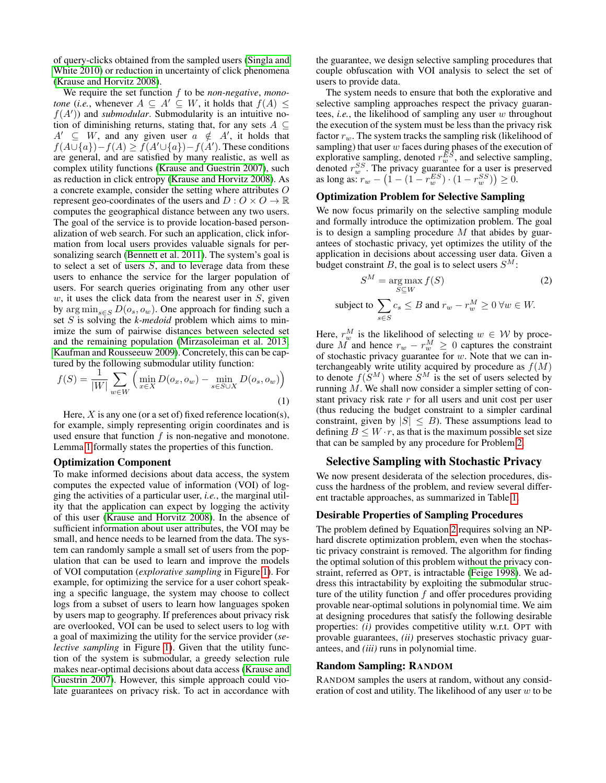of query-clicks obtained from the sampled users [\(Singla and](#page-6-14) [White 2010\)](#page-6-14) or reduction in uncertainty of click phenomena [\(Krause and Horvitz 2008\)](#page-6-6).

We require the set function f to be *non-negative*, *monotone* (*i.e.*, whenever  $A \subseteq A' \subseteq W$ , it holds that  $f(A) \leq$  $f(A')$ ) and *submodular*. Submodularity is an intuitive notion of diminishing returns, stating that, for any sets  $A \subseteq$  $A' \subseteq W$ , and any given user  $a \notin A'$ , it holds that  $f(A \cup \{a\}) - f(A) \ge f(A' \cup \{a\}) - f(A')$ . These conditions are general, and are satisfied by many realistic, as well as complex utility functions [\(Krause and Guestrin 2007\)](#page-6-15), such as reduction in click entropy [\(Krause and Horvitz 2008\)](#page-6-6). As a concrete example, consider the setting where attributes O represent geo-coordinates of the users and  $D: O \times O \rightarrow \mathbb{R}$ computes the geographical distance between any two users. The goal of the service is to provide location-based personalization of web search. For such an application, click information from local users provides valuable signals for per-sonalizing search [\(Bennett et al. 2011\)](#page-6-12). The system's goal is to select a set of users  $S$ , and to leverage data from these users to enhance the service for the larger population of users. For search queries originating from any other user  $w$ , it uses the click data from the nearest user in  $S$ , given by  $\arg \min_{s \in S} D(o_s, o_w)$ . One approach for finding such a set S is solving the *k-medoid* problem which aims to minimize the sum of pairwise distances between selected set and the remaining population [\(Mirzasoleiman et al. 2013;](#page-6-16) [Kaufman and Rousseeuw 2009\)](#page-6-17). Concretely, this can be captured by the following submodular utility function:

$$
f(S) = \frac{1}{|W|} \sum_{w \in W} \left( \min_{x \in X} D(o_x, o_w) - \min_{s \in S \cup X} D(o_s, o_w) \right)
$$
\n(1)

Here,  $X$  is any one (or a set of) fixed reference location(s), for example, simply representing origin coordinates and is used ensure that function  $f$  is non-negative and monotone. Lemma [1](#page-4-0) formally states the properties of this function.

#### Optimization Component

To make informed decisions about data access, the system computes the expected value of information (VOI) of logging the activities of a particular user, *i.e.*, the marginal utility that the application can expect by logging the activity of this user [\(Krause and Horvitz 2008\)](#page-6-6). In the absence of sufficient information about user attributes, the VOI may be small, and hence needs to be learned from the data. The system can randomly sample a small set of users from the population that can be used to learn and improve the models of VOI computation (*explorative sampling* in Figure [1\)](#page-1-0). For example, for optimizing the service for a user cohort speaking a specific language, the system may choose to collect logs from a subset of users to learn how languages spoken by users map to geography. If preferences about privacy risk are overlooked, VOI can be used to select users to log with a goal of maximizing the utility for the service provider (*selective sampling* in Figure [1\)](#page-1-0). Given that the utility function of the system is submodular, a greedy selection rule makes near-optimal decisions about data access [\(Krause and](#page-6-15) [Guestrin 2007\)](#page-6-15). However, this simple approach could violate guarantees on privacy risk. To act in accordance with

the guarantee, we design selective sampling procedures that couple obfuscation with VOI analysis to select the set of users to provide data.

The system needs to ensure that both the explorative and selective sampling approaches respect the privacy guarantees, *i.e.*, the likelihood of sampling any user w throughout the execution of the system must be less than the privacy risk factor  $r_w$ . The system tracks the sampling risk (likelihood of sampling) that user  $w$  faces during phases of the execution of explorative sampling, denoted  $r_w^{\bar{E}S}$ , and selective sampling, denoted  $r_w^{SS}$ . The privacy guarantee for a user is preserved as long as:  $r_w - (1 - (1 - r_w^{ES}) \cdot (1 - r_w^{SS})) \ge 0$ .

# Optimization Problem for Selective Sampling

We now focus primarily on the selective sampling module and formally introduce the optimization problem. The goal is to design a sampling procedure  $M$  that abides by guarantees of stochastic privacy, yet optimizes the utility of the application in decisions about accessing user data. Given a budget constraint B, the goal is to select users  $S^M$ :

<span id="page-2-0"></span>
$$
S^{M} = \underset{S \subseteq W}{\arg \max} f(S)
$$
 (2)  
subject to 
$$
\sum_{s \in S} c_{s} \leq B \text{ and } r_{w} - r_{w}^{M} \geq 0 \ \forall w \in W.
$$

<span id="page-2-1"></span>Here,  $r_w^M$  is the likelihood of selecting  $w \in W$  by procedure M and hence  $r_w - r_w^M \geq 0$  captures the constraint of stochastic privacy guarantee for  $w$ . Note that we can interchangeably write utility acquired by procedure as  $f(M)$ to denote  $f(S^M)$  where  $S^M$  is the set of users selected by running M. We shall now consider a simpler setting of constant privacy risk rate  $r$  for all users and unit cost per user (thus reducing the budget constraint to a simpler cardinal constraint, given by  $|S| \leq B$ ). These assumptions lead to defining  $B \leq W \cdot r$ , as that is the maximum possible set size that can be sampled by any procedure for Problem [2.](#page-2-0)

### Selective Sampling with Stochastic Privacy

We now present desiderata of the selection procedures, discuss the hardness of the problem, and review several different tractable approaches, as summarized in Table [1.](#page-3-0)

### Desirable Properties of Sampling Procedures

The problem defined by Equation [2](#page-2-0) requires solving an NPhard discrete optimization problem, even when the stochastic privacy constraint is removed. The algorithm for finding the optimal solution of this problem without the privacy constraint, referred as OPT, is intractable [\(Feige 1998\)](#page-6-18). We address this intractability by exploiting the submodular structure of the utility function  $f$  and offer procedures providing provable near-optimal solutions in polynomial time. We aim at designing procedures that satisfy the following desirable properties: *(i)* provides competitive utility w.r.t. OPT with provable guarantees, *(ii)* preserves stochastic privacy guarantees, and *(iii)* runs in polynomial time.

#### Random Sampling: RANDOM

RANDOM samples the users at random, without any consideration of cost and utility. The likelihood of any user  $w$  to be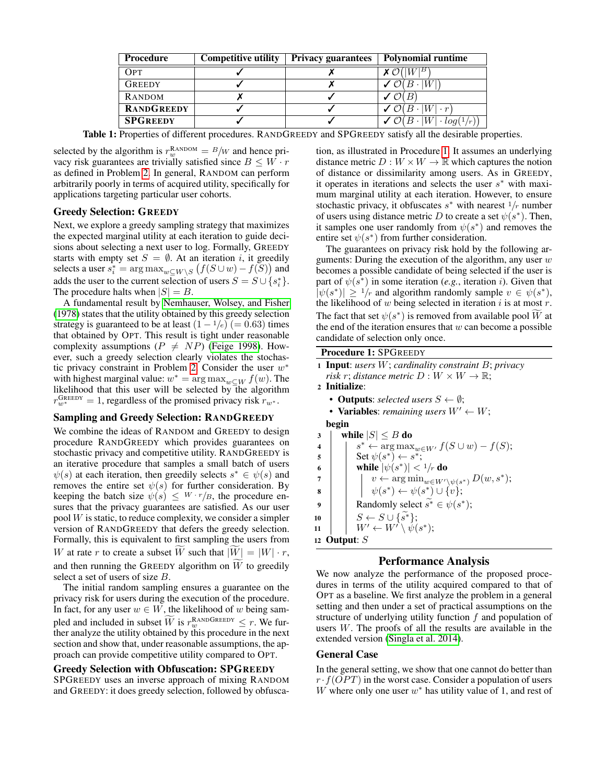<span id="page-3-0"></span>

| <b>Procedure</b>  | <b>Competitive utility</b> | <b>Privacy guarantees</b> | <b>Polynomial runtime</b>                 |
|-------------------|----------------------------|---------------------------|-------------------------------------------|
| OPT               |                            |                           | W B                                       |
| <b>GREEDY</b>     |                            |                           | W                                         |
| RANDOM            |                            |                           |                                           |
| <b>RANDGREEDY</b> |                            |                           | $\checkmark$ $\mathcal{O}(B \cdot   W)$   |
| <b>SPGREEDY</b>   |                            |                           | $\sigma$ O $(B \cdot  W  \cdot log(1/r))$ |

Table 1: Properties of different procedures. RANDGREEDY and SPGREEDY satisfy all the desirable properties.

selected by the algorithm is  $r_w^{\text{RANDOM}} = B/w$  and hence privacy risk guarantees are trivially satisfied since  $B \leq W \cdot r$ as defined in Problem [2.](#page-2-0) In general, RANDOM can perform arbitrarily poorly in terms of acquired utility, specifically for applications targeting particular user cohorts.

# Greedy Selection: GREEDY

Next, we explore a greedy sampling strategy that maximizes the expected marginal utility at each iteration to guide decisions about selecting a next user to log. Formally, GREEDY starts with empty set  $S = \emptyset$ . At an iteration *i*, it greedily selects a user  $s_i^* = \argmax_{w \subseteq W \setminus S} (f(S \cup w) - f(S))$  and adds the user to the current selection of users  $S = S \cup \{s_i^*\}.$ The procedure halts when  $|S| = B$ .

A fundamental result by [Nemhauser, Wolsey, and Fisher](#page-6-19) [\(1978\)](#page-6-19) states that the utility obtained by this greedy selection strategy is guaranteed to be at least  $(1 - \frac{1}{e})$  (= 0.63) times that obtained by OPT. This result is tight under reasonable complexity assumptions ( $P \neq NP$ ) [\(Feige 1998\)](#page-6-18). However, such a greedy selection clearly violates the stochas-tic privacy constraint in Problem [2.](#page-2-0) Consider the user  $w^*$ with highest marginal value:  $w^* = \arg \max_{w \subseteq W} f(w)$ . The likelihood that this user will be selected by the algorithm  $r_{w^*}^{\text{GreenY}} = 1$ , regardless of the promised privacy risk  $r_{w^*}$ .

# Sampling and Greedy Selection: RANDGREEDY

We combine the ideas of RANDOM and GREEDY to design procedure RANDGREEDY which provides guarantees on stochastic privacy and competitive utility. RANDGREEDY is an iterative procedure that samples a small batch of users  $\psi(s)$  at each iteration, then greedily selects  $s^* \in \psi(s)$  and removes the entire set  $\psi(s)$  for further consideration. By keeping the batch size  $\psi(s) \leq W \cdot r / B$ , the procedure ensures that the privacy guarantees are satisfied. As our user pool  $W$  is static, to reduce complexity, we consider a simpler version of RANDGREEDY that defers the greedy selection. Formally, this is equivalent to first sampling the users from W at rate r to create a subset W such that  $|W| = |W| \cdot r$ , and then running the GREEDY algorithm on  $W$  to greedily select a set of users of size B.

The initial random sampling ensures a guarantee on the privacy risk for users during the execution of the procedure. In fact, for any user  $w \in W$ , the likelihood of w being sampled and included in subset  $\overline{W}$  is  $r_w^{\text{RANDGREDY}} \leq r$ . We fur-<br>the searches the utility chained by this area of we in the next ther analyze the utility obtained by this procedure in the next section and show that, under reasonable assumptions, the approach can provide competitive utility compared to OPT.

### Greedy Selection with Obfuscation: SPGREEDY

SPGREEDY uses an inverse approach of mixing RANDOM and GREEDY: it does greedy selection, followed by obfuscation, as illustrated in Procedure [1.](#page-3-1) It assumes an underlying distance metric  $D: W \times W \to \mathbb{R}$  which captures the notion of distance or dissimilarity among users. As in GREEDY, it operates in iterations and selects the user  $s^*$  with maximum marginal utility at each iteration. However, to ensure stochastic privacy, it obfuscates  $s^*$  with nearest  $1/r$  number of users using distance metric D to create a set  $\psi(s^*)$ . Then, it samples one user randomly from  $\psi(s^*)$  and removes the entire set  $\psi(s^*)$  from further consideration.

The guarantees on privacy risk hold by the following arguments: During the execution of the algorithm, any user  $w$ becomes a possible candidate of being selected if the user is part of  $\psi(s^*)$  in some iteration (*e.g.*, iteration *i*). Given that  $|\psi(s^*)| \ge 1/r$  and algorithm randomly sample  $v \in \psi(s^*)$ , the likelihood of  $w$  being selected in iteration  $i$  is at most  $r$ . The fact that set  $\psi(s^*)$  is removed from available pool  $\widetilde{W}$  at the end of the iteration ensures that  $w$  can become a possible candidate of selection only once.

# Procedure 1: SPGREEDY

| <b>1 Input:</b> users $W$ ; cardinality constraint $B$ ; privacy |
|------------------------------------------------------------------|
| risk r; distance metric $D: W \times W \to \mathbb{R}$ ;         |
|                                                                  |

- <sup>2</sup> Initialize:
- **Outputs**: *selected users*  $S \leftarrow \emptyset$ ;
- **Variables**: *remaining users*  $W' \leftarrow W$ ;

```
begin
3 | while |S| \leq B do
```

```
4 \vert \quad \vert \quad s^* \leftarrow \argmax_{w \in W'} f(S \cup w) - f(S);\mathsf{s} | Set \psi(s^*) \leftarrow s^*;6 while |\psi(s^*)| < 1/r do
 \tau \quad | \quad \mid \quad v \leftarrow \argmin_{w \in W' \setminus \psi(s^*)} D(w, s^*);\mathbf{s} | \psi(s^*) \leftarrow \psi(s^*) \cup \{v\};9 Randomly select \widetilde{s^*} \in \psi(s^*);10 \begin{array}{|c|c|c|c|}\n\hline\n11 & N' \leftarrow W' \setminus \psi(\end{array}11 \vert W' \leftarrow W' \setminus \psi(s^*);12 Output: S
```
# Performance Analysis

<span id="page-3-1"></span>We now analyze the performance of the proposed procedures in terms of the utility acquired compared to that of OPT as a baseline. We first analyze the problem in a general setting and then under a set of practical assumptions on the structure of underlying utility function  $f$  and population of users  $W$ . The proofs of all the results are available in the extended version [\(Singla et al. 2014\)](#page-6-20).

### General Case

In the general setting, we show that one cannot do better than  $r \cdot f(OPT)$  in the worst case. Consider a population of users W where only one user  $w^*$  has utility value of 1, and rest of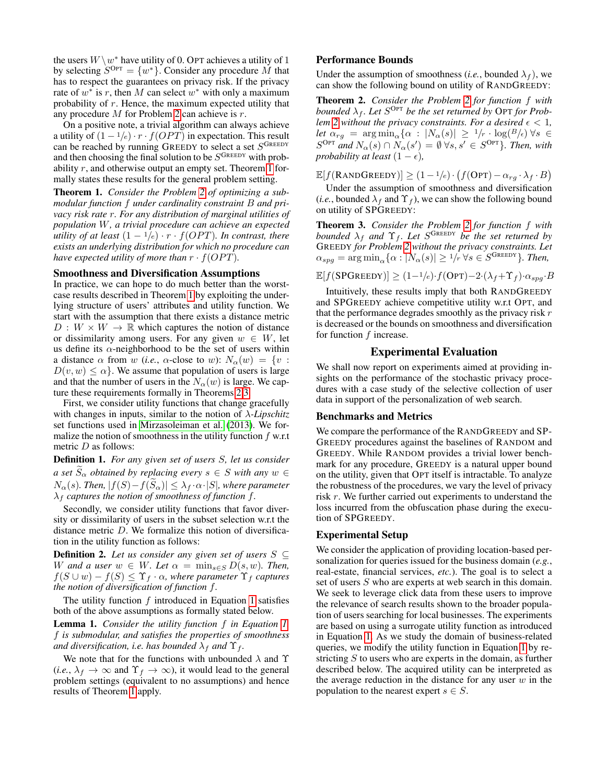the users  $W \setminus w^*$  have utility of 0. OPT achieves a utility of 1 by selecting  $S^{\text{Opt}} = \{w^*\}$ . Consider any procedure M that has to respect the guarantees on privacy risk. If the privacy rate of  $w^*$  is r, then M can select  $w^*$  with only a maximum probability of r. Hence, the maximum expected utility that any procedure M for Problem [2](#page-2-0) can achieve is r.

On a positive note, a trivial algorithm can always achieve a utility of  $(1 - \frac{1}{e}) \cdot r \cdot f(OPT)$  in expectation. This result can be reached by running GREEDY to select a set  $S^{\text{Green}}$ and then choosing the final solution to be  $S^{G_{REEDY}}$  with probability  $r$ , and otherwise output an empty set. Theorem [1](#page-4-1) formally states these results for the general problem setting.

<span id="page-4-1"></span>Theorem 1. *Consider the Problem [2](#page-2-0) of optimizing a submodular function* f *under cardinality constraint* B *and privacy risk rate* r*. For any distribution of marginal utilities of population* W*, a trivial procedure can achieve an expected utility of at least*  $(1 - \frac{1}{e}) \cdot r \cdot f(OPT)$ *. In contrast, there exists an underlying distribution for which no procedure can have expected utility of more than*  $r \cdot f(OPT)$ *.* 

#### Smoothness and Diversification Assumptions

In practice, we can hope to do much better than the worstcase results described in Theorem [1](#page-4-1) by exploiting the underlying structure of users' attributes and utility function. We start with the assumption that there exists a distance metric  $D: W \times W \rightarrow \mathbb{R}$  which captures the notion of distance or dissimilarity among users. For any given  $w \in W$ , let us define its  $\alpha$ -neighborhood to be the set of users within a distance  $\alpha$  from w (*i.e.*,  $\alpha$ -close to w):  $N_{\alpha}(w) = \{v :$  $D(v, w) \leq \alpha$ . We assume that population of users is large and that the number of users in the  $N_\alpha(w)$  is large. We capture these requirements formally in Theorems [2](#page-4-2)[,3.](#page-4-3)

First, we consider utility functions that change gracefully with changes in inputs, similar to the notion of λ*-Lipschitz* set functions used in [Mirzasoleiman et al.](#page-6-16) [\(2013\)](#page-6-16). We formalize the notion of smoothness in the utility function  $f$  w.r.t metric D as follows:

Definition 1. *For any given set of users* S*, let us consider a set*  $\widetilde{S}_{\alpha}$  *obtained by replacing every*  $s \in S$  *with any*  $w \in$  $N_{\alpha}(s)$ *. Then,*  $|f(S)-f(\widetilde{S}_{\alpha})|\leq \lambda_{f}\cdot \alpha\cdot |S|$ *, where parameter*  $\lambda_f$  *captures the notion of smoothness of function f.* 

Secondly, we consider utility functions that favor diversity or dissimilarity of users in the subset selection w.r.t the distance metric D. We formalize this notion of diversification in the utility function as follows:

**Definition 2.** *Let us consider any given set of users*  $S \subseteq$ W and a user  $w \in W$ *. Let*  $\alpha = \min_{s \in S} D(s, w)$ *. Then,*  $f(S \cup w) - f(S) \leq \Upsilon_f \cdot \alpha$ , where parameter  $\Upsilon_f$  captures *the notion of diversification of function* f*.*

The utility function  $f$  introduced in Equation [1](#page-2-1) satisfies both of the above assumptions as formally stated below.

<span id="page-4-0"></span>Lemma 1. *Consider the utility function* f *in Equation [1.](#page-2-1)* f *is submodular, and satisfies the properties of smoothness and diversification, i.e. has bounded*  $\lambda_f$  *and*  $\Upsilon_f$ *.* 

We note that for the functions with unbounded  $\lambda$  and  $\Upsilon$ (*i.e.*,  $\lambda_f \to \infty$  and  $\Upsilon_f \to \infty$ ), it would lead to the general problem settings (equivalent to no assumptions) and hence results of Theorem [1](#page-4-1) apply.

#### Performance Bounds

Under the assumption of smoothness (*i.e.*, bounded  $\lambda_f$ ), we can show the following bound on utility of RANDGREEDY:

<span id="page-4-2"></span>Theorem 2. *Consider the Problem [2](#page-2-0) for function* f *with* bounded  $\lambda_f$ . Let  $S^{\text{Opt}}$  be the set returned by OPT for Prob*lem* [2](#page-2-0) without the privacy constraints. For a desired  $\epsilon$  < 1, *let*  $\alpha_{rg}$  =  $\arg \min_{\alpha} {\alpha : |N_{\alpha}(s)| \geq 1/r \cdot \log(B/\epsilon)} \forall s \in$  $S^{\text{OPT}}$  and  $N_{\alpha}(s) \cap N_{\alpha}(s') = \emptyset \ \forall s, s' \in S^{\text{OPT}}$ *. Then, with probability at least*  $(1 - \epsilon)$ *,* 

 $\mathbb{E}[f(\text{RANDGREDY})] \geq (1-1/e) \cdot (f(\text{OPT}) - \alpha_{rg} \cdot \lambda_f \cdot B)$ 

Under the assumption of smoothness and diversification (*i.e.*, bounded  $\lambda_f$  and  $\Upsilon_f$ ), we can show the following bound on utility of SPGREEDY:

<span id="page-4-3"></span>Theorem 3. *Consider the Problem [2](#page-2-0) for function* f *with bounded*  $\lambda_f$  *and*  $\Upsilon_f$ *. Let*  $S^{\text{GREEDY}}$  *be the set returned by* GREEDY *for Problem [2](#page-2-0) without the privacy constraints. Let*  $\alpha_{spg} = \arg \min_{\alpha} {\alpha : |N_{\alpha}(s)| \ge 1/\bar{r}} \ \forall s \in S^{\text{GreenY}}$ *). Then,* 

 $\mathbb{E}[f(\text{SPGreeDY})] \geq (1-1/e) \cdot f(\text{OPT}) - 2 \cdot (\lambda_f + \Upsilon_f) \cdot \alpha_{spa} \cdot B$ 

Intuitively, these results imply that both RANDGREEDY and SPGREEDY achieve competitive utility w.r.t OPT, and that the performance degrades smoothly as the privacy risk  $r$ is decreased or the bounds on smoothness and diversification for function  $f$  increase.

#### Experimental Evaluation

We shall now report on experiments aimed at providing insights on the performance of the stochastic privacy procedures with a case study of the selective collection of user data in support of the personalization of web search.

#### Benchmarks and Metrics

We compare the performance of the RANDGREEDY and SP-GREEDY procedures against the baselines of RANDOM and GREEDY. While RANDOM provides a trivial lower benchmark for any procedure, GREEDY is a natural upper bound on the utility, given that OPT itself is intractable. To analyze the robustness of the procedures, we vary the level of privacy risk r. We further carried out experiments to understand the loss incurred from the obfuscation phase during the execution of SPGREEDY.

#### Experimental Setup

We consider the application of providing location-based personalization for queries issued for the business domain (*e.g.*, real-estate, financial services, *etc.*). The goal is to select a set of users S who are experts at web search in this domain. We seek to leverage click data from these users to improve the relevance of search results shown to the broader population of users searching for local businesses. The experiments are based on using a surrogate utility function as introduced in Equation [1.](#page-2-1) As we study the domain of business-related queries, we modify the utility function in Equation [1](#page-2-1) by restricting  $S$  to users who are experts in the domain, as further described below. The acquired utility can be interpreted as the average reduction in the distance for any user  $w$  in the population to the nearest expert  $s \in S$ .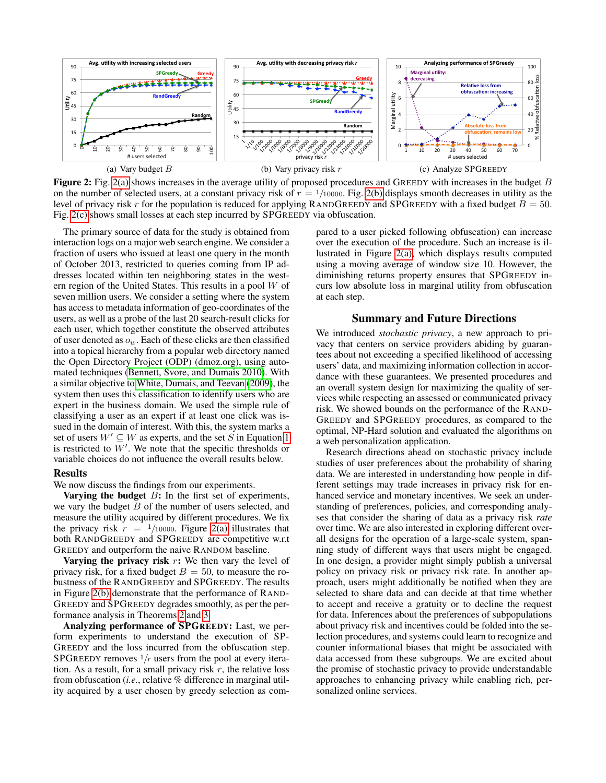<span id="page-5-0"></span>

Figure 2: Fig. [2\(a\)](#page-5-0) shows increases in the average utility of proposed procedures and GREEDY with increases in the budget B on the number of selected users, at a constant privacy risk of  $r = \frac{1}{10000}$ . Fig. [2\(b\)](#page-5-1) displays smooth decreases in utility as the level of privacy risk r for the population is reduced for applying RANDGREEDY and SPGREEDY with a fixed budget  $B = 50$ . Fig. [2\(c\)](#page-5-2) shows small losses at each step incurred by SPGREEDY via obfuscation.

The primary source of data for the study is obtained from interaction logs on a major web search engine. We consider a fraction of users who issued at least one query in the month of October 2013, restricted to queries coming from IP addresses located within ten neighboring states in the western region of the United States. This results in a pool W of seven million users. We consider a setting where the system has access to metadata information of geo-coordinates of the users, as well as a probe of the last 20 search-result clicks for each user, which together constitute the observed attributes of user denoted as  $o_w$ . Each of these clicks are then classified into a topical hierarchy from a popular web directory named the Open Directory Project (ODP) (dmoz.org), using automated techniques [\(Bennett, Svore, and Dumais 2010\)](#page-6-21). With a similar objective to [White, Dumais, and Teevan](#page-6-22) [\(2009\)](#page-6-22), the system then uses this classification to identify users who are expert in the business domain. We used the simple rule of classifying a user as an expert if at least one click was issued in the domain of interest. With this, the system marks a set of users  $W' \subseteq W$  as experts, and the set S in Equation [1](#page-2-1) is restricted to  $W'$ . We note that the specific thresholds or variable choices do not influence the overall results below.

#### Results

We now discuss the findings from our experiments.

Varying the budget  $B$ : In the first set of experiments, we vary the budget  $B$  of the number of users selected, and measure the utility acquired by different procedures. We fix the privacy risk  $r = 1/10000$ . Figure [2\(a\)](#page-5-0) illustrates that both RANDGREEDY and SPGREEDY are competitive w.r.t GREEDY and outperform the naive RANDOM baseline.

Varying the privacy risk  $r$ : We then vary the level of privacy risk, for a fixed budget  $B = 50$ , to measure the robustness of the RANDGREEDY and SPGREEDY. The results in Figure [2\(b\)](#page-5-1) demonstrate that the performance of RAND-GREEDY and SPGREEDY degrades smoothly, as per the performance analysis in Theorems [2](#page-4-2) and [3.](#page-4-3)

Analyzing performance of SPGREEDY: Last, we perform experiments to understand the execution of SP-GREEDY and the loss incurred from the obfuscation step. SPGREEDY removes  $1/r$  users from the pool at every iteration. As a result, for a small privacy risk  $r$ , the relative loss from obfuscation (*i.e.*, relative % difference in marginal utility acquired by a user chosen by greedy selection as com<span id="page-5-2"></span><span id="page-5-1"></span>pared to a user picked following obfuscation) can increase over the execution of the procedure. Such an increase is illustrated in Figure [2\(a\),](#page-5-0) which displays results computed using a moving average of window size 10. However, the diminishing returns property ensures that SPGREEDY incurs low absolute loss in marginal utility from obfuscation at each step.

#### Summary and Future Directions

We introduced *stochastic privacy*, a new approach to privacy that centers on service providers abiding by guarantees about not exceeding a specified likelihood of accessing users' data, and maximizing information collection in accordance with these guarantees. We presented procedures and an overall system design for maximizing the quality of services while respecting an assessed or communicated privacy risk. We showed bounds on the performance of the RAND-GREEDY and SPGREEDY procedures, as compared to the optimal, NP-Hard solution and evaluated the algorithms on a web personalization application.

Research directions ahead on stochastic privacy include studies of user preferences about the probability of sharing data. We are interested in understanding how people in different settings may trade increases in privacy risk for enhanced service and monetary incentives. We seek an understanding of preferences, policies, and corresponding analyses that consider the sharing of data as a privacy risk *rate* over time. We are also interested in exploring different overall designs for the operation of a large-scale system, spanning study of different ways that users might be engaged. In one design, a provider might simply publish a universal policy on privacy risk or privacy risk rate. In another approach, users might additionally be notified when they are selected to share data and can decide at that time whether to accept and receive a gratuity or to decline the request for data. Inferences about the preferences of subpopulations about privacy risk and incentives could be folded into the selection procedures, and systems could learn to recognize and counter informational biases that might be associated with data accessed from these subgroups. We are excited about the promise of stochastic privacy to provide understandable approaches to enhancing privacy while enabling rich, personalized online services.